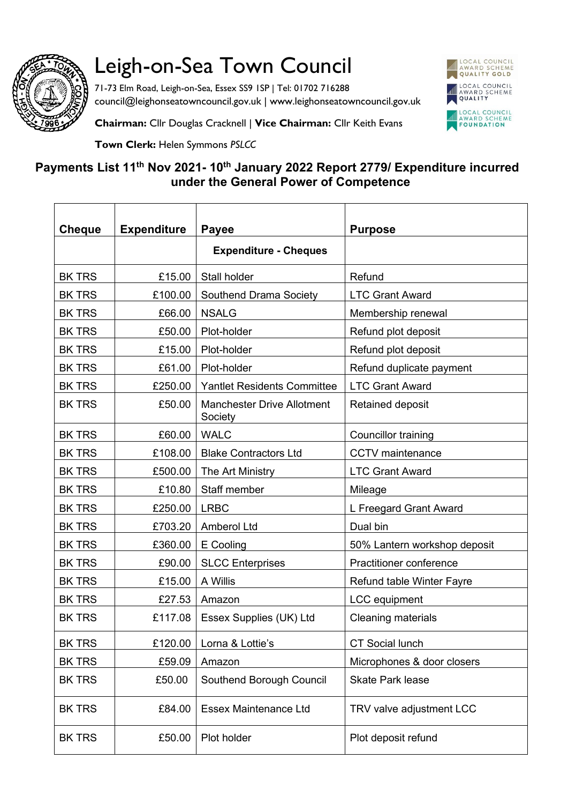

## Leigh-on-Sea Town Council

71-73 Elm Road, Leigh-on-Sea, Essex SS9 1SP | Tel: 01702 716288 council@leighonseatowncouncil.gov.uk | www.leighonseatowncouncil.gov.uk



**Chairman:** Cllr Douglas Cracknell | **Vice Chairman:** Cllr Keith Evans

**Town Clerk:** Helen Symmons *PSLCC*

## **Payments List 11th Nov 2021- 10th January 2022 Report 2779/ Expenditure incurred under the General Power of Competence**

| <b>Cheque</b> | <b>Expenditure</b> | Payee                                        | <b>Purpose</b>                 |
|---------------|--------------------|----------------------------------------------|--------------------------------|
|               |                    | <b>Expenditure - Cheques</b>                 |                                |
| <b>BK TRS</b> | £15.00             | Stall holder                                 | Refund                         |
| <b>BK TRS</b> | £100.00            | Southend Drama Society                       | <b>LTC Grant Award</b>         |
| <b>BK TRS</b> | £66.00             | <b>NSALG</b>                                 | Membership renewal             |
| <b>BK TRS</b> | £50.00             | Plot-holder                                  | Refund plot deposit            |
| <b>BK TRS</b> | £15.00             | Plot-holder                                  | Refund plot deposit            |
| <b>BK TRS</b> | £61.00             | Plot-holder                                  | Refund duplicate payment       |
| <b>BK TRS</b> | £250.00            | <b>Yantlet Residents Committee</b>           | <b>LTC Grant Award</b>         |
| <b>BK TRS</b> | £50.00             | <b>Manchester Drive Allotment</b><br>Society | Retained deposit               |
| <b>BK TRS</b> | £60.00             | <b>WALC</b>                                  | Councillor training            |
| <b>BK TRS</b> | £108.00            | <b>Blake Contractors Ltd</b>                 | <b>CCTV</b> maintenance        |
| <b>BK TRS</b> | £500.00            | The Art Ministry                             | <b>LTC Grant Award</b>         |
| <b>BK TRS</b> | £10.80             | Staff member                                 | Mileage                        |
| <b>BK TRS</b> | £250.00            | <b>LRBC</b>                                  | L Freegard Grant Award         |
| <b>BK TRS</b> | £703.20            | Amberol Ltd                                  | Dual bin                       |
| <b>BK TRS</b> | £360.00            | E Cooling                                    | 50% Lantern workshop deposit   |
| <b>BK TRS</b> | £90.00             | <b>SLCC Enterprises</b>                      | <b>Practitioner conference</b> |
| <b>BK TRS</b> | £15.00             | A Willis                                     | Refund table Winter Fayre      |
| <b>BK TRS</b> | £27.53             | Amazon                                       | LCC equipment                  |
| <b>BK TRS</b> | £117.08            | Essex Supplies (UK) Ltd                      | <b>Cleaning materials</b>      |
| <b>BK TRS</b> | £120.00            | Lorna & Lottie's                             | <b>CT Social lunch</b>         |
| <b>BK TRS</b> | £59.09             | Amazon                                       | Microphones & door closers     |
| <b>BK TRS</b> | £50.00             | Southend Borough Council                     | <b>Skate Park lease</b>        |
| <b>BK TRS</b> | £84.00             | <b>Essex Maintenance Ltd</b>                 | TRV valve adjustment LCC       |
| <b>BK TRS</b> | £50.00             | Plot holder                                  | Plot deposit refund            |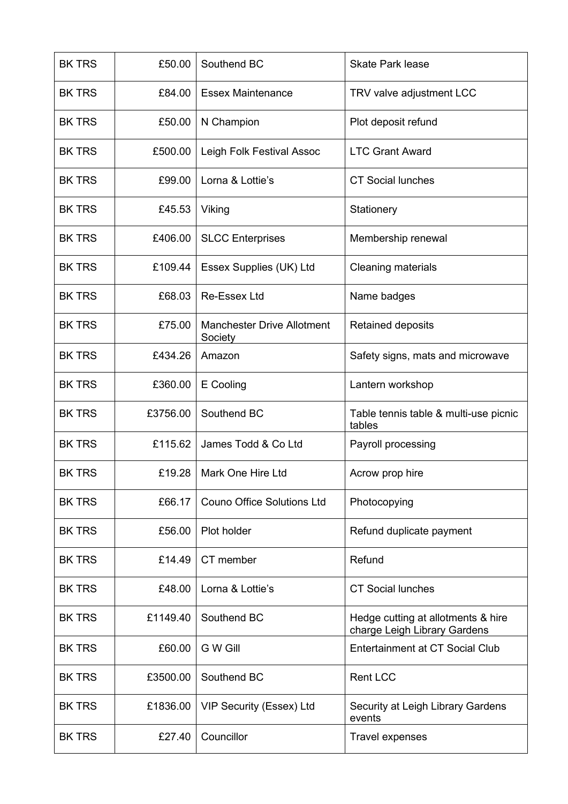| <b>BK TRS</b> | £50.00   | Southend BC                                  | <b>Skate Park lease</b>                                            |
|---------------|----------|----------------------------------------------|--------------------------------------------------------------------|
| <b>BK TRS</b> | £84.00   | <b>Essex Maintenance</b>                     | TRV valve adjustment LCC                                           |
| <b>BK TRS</b> | £50.00   | N Champion                                   | Plot deposit refund                                                |
| <b>BK TRS</b> | £500.00  | Leigh Folk Festival Assoc                    | <b>LTC Grant Award</b>                                             |
| <b>BK TRS</b> | £99.00   | Lorna & Lottie's                             | <b>CT Social lunches</b>                                           |
| <b>BK TRS</b> | £45.53   | Viking                                       | Stationery                                                         |
| <b>BK TRS</b> | £406.00  | <b>SLCC Enterprises</b>                      | Membership renewal                                                 |
| <b>BK TRS</b> | £109.44  | Essex Supplies (UK) Ltd                      | <b>Cleaning materials</b>                                          |
| <b>BK TRS</b> | £68.03   | <b>Re-Essex Ltd</b>                          | Name badges                                                        |
| <b>BK TRS</b> | £75.00   | <b>Manchester Drive Allotment</b><br>Society | Retained deposits                                                  |
| <b>BK TRS</b> | £434.26  | Amazon                                       | Safety signs, mats and microwave                                   |
| <b>BK TRS</b> | £360.00  | E Cooling                                    | Lantern workshop                                                   |
| <b>BK TRS</b> | £3756.00 | Southend BC                                  | Table tennis table & multi-use picnic<br>tables                    |
| <b>BK TRS</b> | £115.62  | James Todd & Co Ltd                          | Payroll processing                                                 |
| <b>BK TRS</b> | £19.28   | Mark One Hire Ltd                            | Acrow prop hire                                                    |
| <b>BK TRS</b> | £66.17   | <b>Couno Office Solutions Ltd</b>            | Photocopying                                                       |
| <b>BK TRS</b> | £56.00   | Plot holder                                  | Refund duplicate payment                                           |
| <b>BK TRS</b> | £14.49   | CT member                                    | Refund                                                             |
| <b>BK TRS</b> | £48.00   | Lorna & Lottie's                             | <b>CT Social lunches</b>                                           |
| <b>BK TRS</b> | £1149.40 | Southend BC                                  | Hedge cutting at allotments & hire<br>charge Leigh Library Gardens |
| <b>BK TRS</b> | £60.00   | G W Gill                                     | <b>Entertainment at CT Social Club</b>                             |
| <b>BK TRS</b> | £3500.00 | Southend BC                                  | <b>Rent LCC</b>                                                    |
| <b>BK TRS</b> | £1836.00 | VIP Security (Essex) Ltd                     | Security at Leigh Library Gardens<br>events                        |
| <b>BK TRS</b> | £27.40   | Councillor                                   | <b>Travel expenses</b>                                             |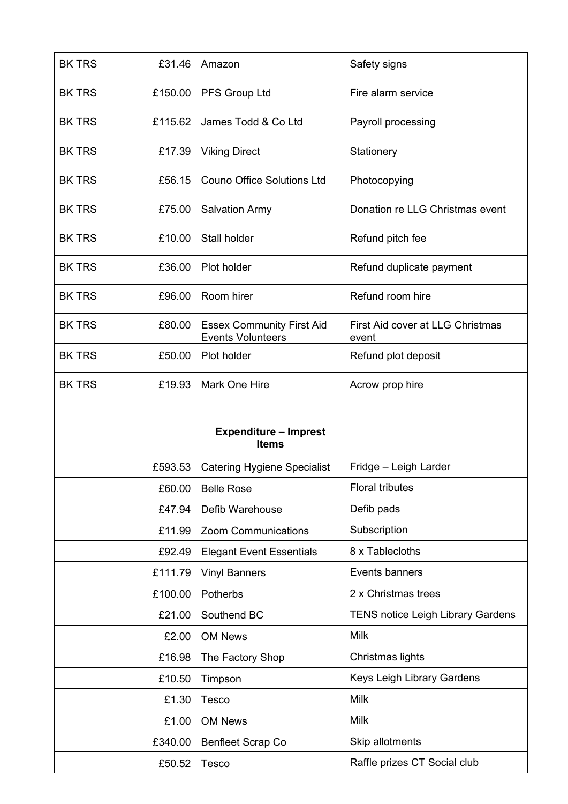| <b>BK TRS</b> | £31.46  | Amazon                                                       | Safety signs                              |
|---------------|---------|--------------------------------------------------------------|-------------------------------------------|
| <b>BK TRS</b> | £150.00 | PFS Group Ltd                                                | Fire alarm service                        |
| <b>BK TRS</b> | £115.62 | James Todd & Co Ltd                                          | Payroll processing                        |
| <b>BK TRS</b> | £17.39  | <b>Viking Direct</b>                                         | Stationery                                |
| <b>BK TRS</b> | £56.15  | <b>Couno Office Solutions Ltd</b>                            | Photocopying                              |
| <b>BK TRS</b> | £75.00  | <b>Salvation Army</b>                                        | Donation re LLG Christmas event           |
| <b>BK TRS</b> | £10.00  | Stall holder                                                 | Refund pitch fee                          |
| <b>BK TRS</b> | £36.00  | Plot holder                                                  | Refund duplicate payment                  |
| <b>BK TRS</b> | £96.00  | Room hirer                                                   | Refund room hire                          |
| <b>BK TRS</b> | £80.00  | <b>Essex Community First Aid</b><br><b>Events Volunteers</b> | First Aid cover at LLG Christmas<br>event |
| <b>BK TRS</b> | £50.00  | Plot holder                                                  | Refund plot deposit                       |
| <b>BK TRS</b> | £19.93  | Mark One Hire                                                | Acrow prop hire                           |
|               |         |                                                              |                                           |
|               |         |                                                              |                                           |
|               |         | <b>Expenditure - Imprest</b><br><b>Items</b>                 |                                           |
|               | £593.53 | <b>Catering Hygiene Specialist</b>                           | Fridge - Leigh Larder                     |
|               | £60.00  | <b>Belle Rose</b>                                            | <b>Floral tributes</b>                    |
|               | £47.94  | Defib Warehouse                                              | Defib pads                                |
|               | £11.99  | Zoom Communications                                          | Subscription                              |
|               | £92.49  | <b>Elegant Event Essentials</b>                              | 8 x Tablecloths                           |
|               | £111.79 | <b>Vinyl Banners</b>                                         | Events banners                            |
|               | £100.00 | Potherbs                                                     | 2 x Christmas trees                       |
|               | £21.00  | Southend BC                                                  | <b>TENS notice Leigh Library Gardens</b>  |
|               | £2.00   | <b>OM News</b>                                               | <b>Milk</b>                               |
|               | £16.98  | The Factory Shop                                             | Christmas lights                          |
|               | £10.50  | Timpson                                                      | Keys Leigh Library Gardens                |
|               | £1.30   | <b>Tesco</b>                                                 | <b>Milk</b>                               |
|               | £1.00   | <b>OM News</b>                                               | <b>Milk</b>                               |
|               | £340.00 | <b>Benfleet Scrap Co</b>                                     | Skip allotments                           |